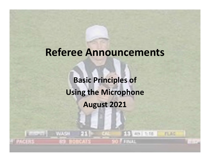## Referee Announcements

Basic Principles of Using the Microphone August 2021

**WASH** 

 $F(x)$  and the *ruad*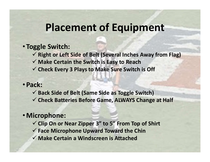### Placement of Equipment

#### • Toggle Switch:

- $\checkmark$  Right or Left Side of Belt (Several Inches Away from Flag)
- $\checkmark$  Make Certain the Switch is Easy to Reach
- $\checkmark$  Check Every 3 Plays to Make Sure Switch is Off

#### • Pack:

- $\checkmark$  Back Side of Belt (Same Side as Toggle Switch)
- $\checkmark$  Check Batteries Before Game, ALWAYS Change at Half

#### •Microphone:

- $\checkmark$  Clip On or Near Zipper 3" to 5" From Top of Shirt
- $\checkmark$  Face Microphone Upward Toward the Chin
- Make Certain a Windscreen is Attached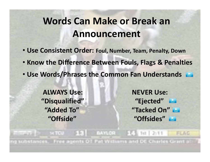## Words Can Make or Break an Announcement

- Use Consistent Order: Foul, Number, Team, Penalty, Down
- Know the Difference Between Fouls, Flags & Penalties
- Use Words/Phrases the Common Fan Understands

ALWAYS Use: NEVER Use:

"Disqualified" "Ejected" "Added To" "Tacked On" "Offside" "Offsides"

 $13$   $Mn$ ca **SATCUS** 6号 1は 2:11 substances. Free agents OT Pat Williams and DE Charles Grant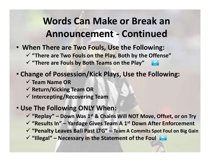# Words Can Make or Break an **Nords Can Make or Break an<br>Announcement - Continued<br>here are Two Fouls, Use the Following:<br>reare Two Fouls on the Play, Both by the Offense"**

- When There are Two Fouls, Use the Following:
	- $\checkmark$  "There are Two Fouls on the Play, Both by the Offense"
	- $\checkmark$  "There are Fouls by Both Teams on the Play"
- Change of Possession/Kick Plays, Use the Following: V "There are Fouls by Both Teams on the Play"<br>
Transper of Possession/Kick Plays, Use the Following:<br>
V Team Name OR<br>
V Return/Kicking Team OR<br>
V Intercepting/Recovering Team<br>
Se The Following ONLY When:<br>
V "Replay" – Dow
	- $\checkmark$  Team Name OR
	- $\checkmark$  Return/Kicking Team OR
	- $\checkmark$  Intercepting/Recovering Team

#### • Use The Following ONLY When:

- $\checkmark$  "Replay" Down Was 1<sup>st</sup> & Chains Will NOT Move, Offset, or on Try nange of Possession/Kick Plays, Use the Fol<br>
√ Team Name OR<br>
√ Return/Kicking Team OR<br>
√ Intercepting/Recovering Team<br>
se The Following ONLY When:<br>
√ "Replay" – Down Was 1<sup>st</sup> & Chains Will NOT Move,<br>
√ "Results In" – Yar
- 
- $\checkmark$  "Penalty Leaves Ball Past LTG" Team A Commits Spot Foul on Big Gain
-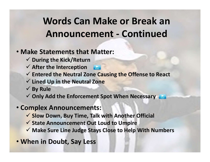# Words Can Make or Break an **Nords Can Make or Break an<br>Announcement - Continued<br>atements that Matter:**

#### • Make Statements that Matter:

- $\checkmark$  During the Kick/Return
- $\checkmark$  After the Interception
- $\checkmark$  Entered the Neutral Zone Causing the Offense to React
- $\checkmark$  Lined Up in the Neutral Zone
- $\checkmark$  By Rule
- $\checkmark$  Only Add the Enforcement Spot When Necessary

#### • Complex Announcements:

- $\checkmark$  Slow Down, Buy Time, Talk with Another Official
- $\checkmark$  State Announcement Out Loud to Umpire
- $\checkmark$  Make Sure Line Judge Stays Close to Help With Numbers
- When in Doubt, Say Less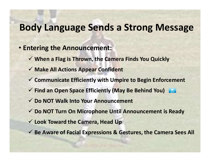### Body Language Sends a Strong Message

- Entering the Announcement:
	- $\checkmark$  When a Flag is Thrown, the Camera Finds You Quickly
	- $\checkmark$  Make All Actions Appear Confident
	- $\checkmark$  Communicate Efficiently with Umpire to Begin Enforcement
	- Find an Open Space Efficiently (May Be Behind You)
	- Do NOT Walk Into Your Announcement
	- $\checkmark$  Do NOT Turn On Microphone Until Announcement is Ready
	- $\checkmark$  Look Toward the Camera, Head Up
	- $\checkmark$  Be Aware of Facial Expressions & Gestures, the Camera Sees All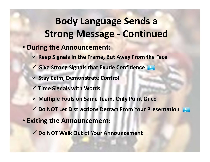# Body Language Sends a **Body Language Sends a**<br>Strong Message - Continued<br>g the Announcement:

- During the Announcement:
	- $\checkmark$  Keep Signals In the Frame, But Away From the Face
	- Give Strong Signals that Exude Confidence
	- $\checkmark$  Stay Calm, Demonstrate Control
	- $\checkmark$  Time Signals with Words
	- $\checkmark$  Multiple Fouls on Same Team, Only Point Once
	- **√ Do NOT Let Distractions Detract From Your Presentation**
- Exiting the Announcement:
	- **√ Do NOT Walk Out of Your Announcement**